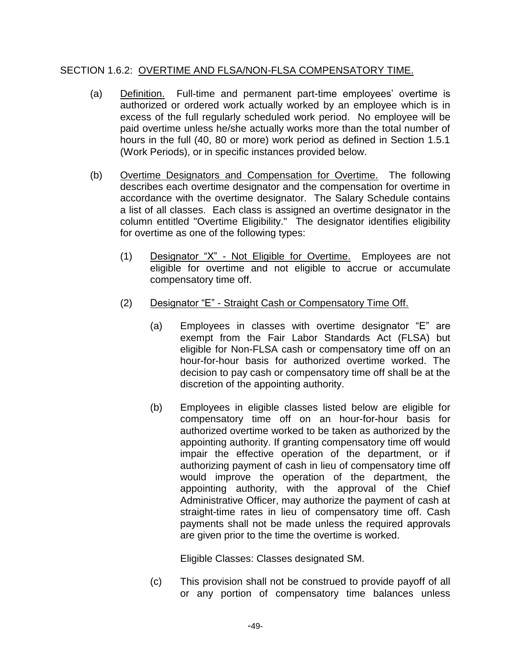# SECTION 1.6.2: OVERTIME AND FLSA/NON-FLSA COMPENSATORY TIME.

- (a) Definition. Full-time and permanent part-time employees' overtime is authorized or ordered work actually worked by an employee which is in excess of the full regularly scheduled work period. No employee will be paid overtime unless he/she actually works more than the total number of hours in the full (40, 80 or more) work period as defined in Section 1.5.1 (Work Periods), or in specific instances provided below.
- (b) Overtime Designators and Compensation for Overtime. The following describes each overtime designator and the compensation for overtime in accordance with the overtime designator. The Salary Schedule contains a list of all classes. Each class is assigned an overtime designator in the column entitled "Overtime Eligibility." The designator identifies eligibility for overtime as one of the following types:
	- (1) Designator "X" Not Eligible for Overtime. Employees are not eligible for overtime and not eligible to accrue or accumulate compensatory time off.
	- (2) Designator "E" Straight Cash or Compensatory Time Off.
		- (a) Employees in classes with overtime designator "E" are exempt from the Fair Labor Standards Act (FLSA) but eligible for Non-FLSA cash or compensatory time off on an hour-for-hour basis for authorized overtime worked. The decision to pay cash or compensatory time off shall be at the discretion of the appointing authority.
		- (b) Employees in eligible classes listed below are eligible for compensatory time off on an hour-for-hour basis for authorized overtime worked to be taken as authorized by the appointing authority. If granting compensatory time off would impair the effective operation of the department, or if authorizing payment of cash in lieu of compensatory time off would improve the operation of the department, the appointing authority, with the approval of the Chief Administrative Officer, may authorize the payment of cash at straight-time rates in lieu of compensatory time off. Cash payments shall not be made unless the required approvals are given prior to the time the overtime is worked.

Eligible Classes: Classes designated SM.

(c) This provision shall not be construed to provide payoff of all or any portion of compensatory time balances unless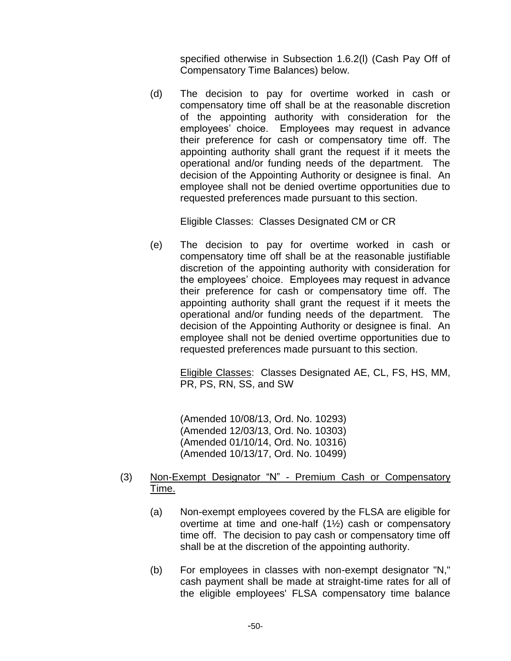specified otherwise in Subsection 1.6.2(l) (Cash Pay Off of Compensatory Time Balances) below.

(d) The decision to pay for overtime worked in cash or compensatory time off shall be at the reasonable discretion of the appointing authority with consideration for the employees' choice. Employees may request in advance their preference for cash or compensatory time off. The appointing authority shall grant the request if it meets the operational and/or funding needs of the department. The decision of the Appointing Authority or designee is final. An employee shall not be denied overtime opportunities due to requested preferences made pursuant to this section.

Eligible Classes: Classes Designated CM or CR

(e) The decision to pay for overtime worked in cash or compensatory time off shall be at the reasonable justifiable discretion of the appointing authority with consideration for the employees' choice. Employees may request in advance their preference for cash or compensatory time off. The appointing authority shall grant the request if it meets the operational and/or funding needs of the department. The decision of the Appointing Authority or designee is final. An employee shall not be denied overtime opportunities due to requested preferences made pursuant to this section.

> Eligible Classes: Classes Designated AE, CL, FS, HS, MM, PR, PS, RN, SS, and SW

(Amended 10/08/13, Ord. No. 10293) (Amended 12/03/13, Ord. No. 10303) (Amended 01/10/14, Ord. No. 10316) (Amended 10/13/17, Ord. No. 10499)

### (3) Non-Exempt Designator "N" - Premium Cash or Compensatory Time.

- (a) Non-exempt employees covered by the FLSA are eligible for overtime at time and one-half (1½) cash or compensatory time off. The decision to pay cash or compensatory time off shall be at the discretion of the appointing authority.
- (b) For employees in classes with non-exempt designator "N," cash payment shall be made at straight-time rates for all of the eligible employees' FLSA compensatory time balance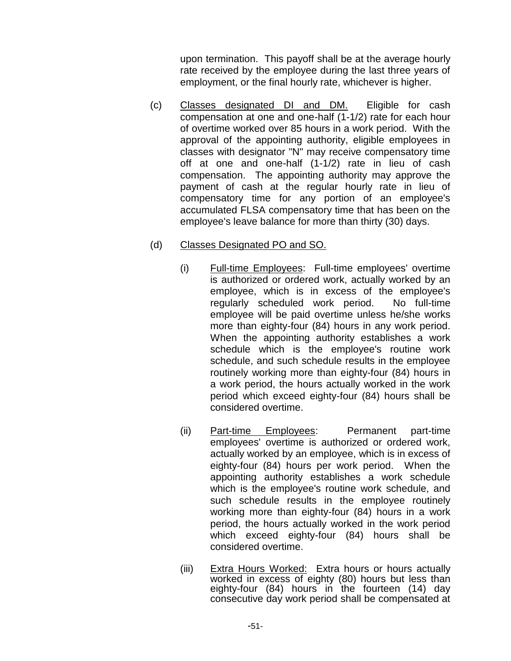upon termination. This payoff shall be at the average hourly rate received by the employee during the last three years of employment, or the final hourly rate, whichever is higher.

(c) Classes designated DI and DM. Eligible for cash compensation at one and one-half (1-1/2) rate for each hour of overtime worked over 85 hours in a work period. With the approval of the appointing authority, eligible employees in classes with designator "N" may receive compensatory time off at one and one-half (1-1/2) rate in lieu of cash compensation. The appointing authority may approve the payment of cash at the regular hourly rate in lieu of compensatory time for any portion of an employee's accumulated FLSA compensatory time that has been on the employee's leave balance for more than thirty (30) days.

# (d) Classes Designated PO and SO.

- (i) Full-time Employees: Full-time employees' overtime is authorized or ordered work, actually worked by an employee, which is in excess of the employee's regularly scheduled work period. No full-time employee will be paid overtime unless he/she works more than eighty-four (84) hours in any work period. When the appointing authority establishes a work schedule which is the employee's routine work schedule, and such schedule results in the employee routinely working more than eighty-four (84) hours in a work period, the hours actually worked in the work period which exceed eighty-four (84) hours shall be considered overtime.
- (ii) Part-time Employees: Permanent part-time employees' overtime is authorized or ordered work, actually worked by an employee, which is in excess of eighty-four (84) hours per work period. When the appointing authority establishes a work schedule which is the employee's routine work schedule, and such schedule results in the employee routinely working more than eighty-four (84) hours in a work period, the hours actually worked in the work period which exceed eighty-four (84) hours shall be considered overtime.
- (iii) Extra Hours Worked: Extra hours or hours actually worked in excess of eighty (80) hours but less than eighty-four (84) hours in the fourteen (14) day consecutive day work period shall be compensated at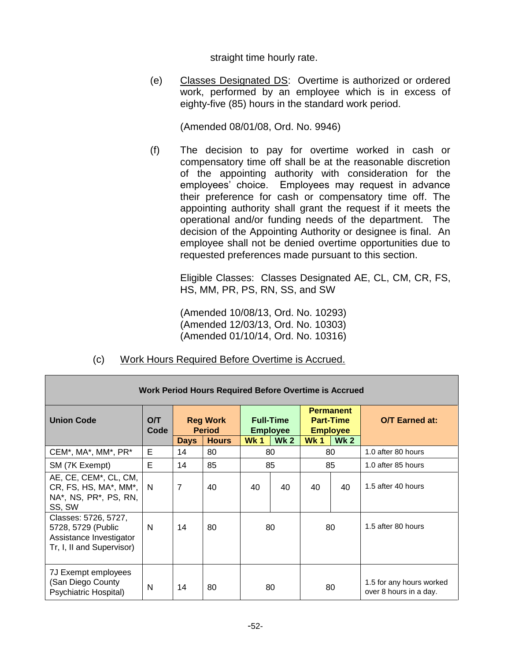straight time hourly rate.

(e) Classes Designated DS: Overtime is authorized or ordered work, performed by an employee which is in excess of eighty-five (85) hours in the standard work period.

(Amended 08/01/08, Ord. No. 9946)

(f) The decision to pay for overtime worked in cash or compensatory time off shall be at the reasonable discretion of the appointing authority with consideration for the employees' choice. Employees may request in advance their preference for cash or compensatory time off. The appointing authority shall grant the request if it meets the operational and/or funding needs of the department. The decision of the Appointing Authority or designee is final. An employee shall not be denied overtime opportunities due to requested preferences made pursuant to this section.

Eligible Classes: Classes Designated AE, CL, CM, CR, FS, HS, MM, PR, PS, RN, SS, and SW

(Amended 10/08/13, Ord. No. 10293) (Amended 12/03/13, Ord. No. 10303) (Amended 01/10/14, Ord. No. 10316)

| <b>Work Period Hours Required Before Overtime is Accrued</b>                                       |             |                                                                 |    |                                                                      |    |                                                                                      |    |                                                    |  |  |
|----------------------------------------------------------------------------------------------------|-------------|-----------------------------------------------------------------|----|----------------------------------------------------------------------|----|--------------------------------------------------------------------------------------|----|----------------------------------------------------|--|--|
| <b>Union Code</b>                                                                                  | O/T<br>Code | <b>Reg Work</b><br><b>Period</b><br><b>Hours</b><br><b>Days</b> |    | <b>Full-Time</b><br><b>Employee</b><br>Wk <sub>2</sub><br><b>Wk1</b> |    | <b>Permanent</b><br><b>Part-Time</b><br><b>Employee</b><br><b>Wk1</b><br><b>Wk 2</b> |    | <b>O/T Earned at:</b>                              |  |  |
| CEM*, MA*, MM*, PR*                                                                                | Е           | 14                                                              | 80 |                                                                      | 80 |                                                                                      | 80 | 1.0 after 80 hours                                 |  |  |
| SM (7K Exempt)                                                                                     | Е           | 14                                                              | 85 |                                                                      | 85 | 85                                                                                   |    | 1.0 after 85 hours                                 |  |  |
| AE, CE, CEM <sup>*</sup> , CL, CM,<br>CR, FS, HS, MA*, MM*,<br>NA*, NS, PR*, PS, RN,<br>SS, SW     | - N         | 7                                                               | 40 | 40                                                                   | 40 | 40                                                                                   | 40 | 1.5 after 40 hours                                 |  |  |
| Classes: 5726, 5727,<br>5728, 5729 (Public<br>Assistance Investigator<br>Tr, I, II and Supervisor) | N           | 14                                                              | 80 |                                                                      | 80 | 80                                                                                   |    | 1.5 after 80 hours                                 |  |  |
| 7J Exempt employees<br>(San Diego County<br>Psychiatric Hospital)                                  | N           | 14                                                              | 80 | 80                                                                   |    | 80                                                                                   |    | 1.5 for any hours worked<br>over 8 hours in a day. |  |  |

(c) Work Hours Required Before Overtime is Accrued.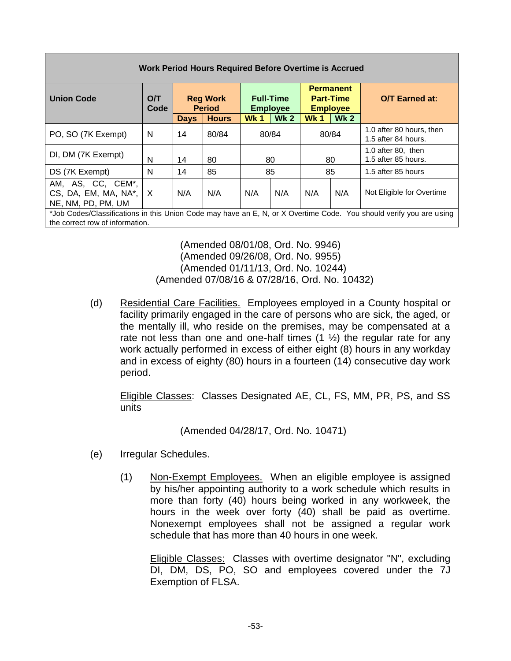| <b>Work Period Hours Required Before Overtime is Accrued</b>                                                                                           |                                                                                                                                                   |             |              |                       |            |            |            |                                                 |  |
|--------------------------------------------------------------------------------------------------------------------------------------------------------|---------------------------------------------------------------------------------------------------------------------------------------------------|-------------|--------------|-----------------------|------------|------------|------------|-------------------------------------------------|--|
| <b>Union Code</b>                                                                                                                                      | <b>Permanent</b><br>O/T<br><b>Reg Work</b><br><b>Part-Time</b><br><b>Full-Time</b><br>Code<br><b>Period</b><br><b>Employee</b><br><b>Employee</b> |             |              | <b>O/T</b> Earned at: |            |            |            |                                                 |  |
|                                                                                                                                                        |                                                                                                                                                   | <b>Days</b> | <b>Hours</b> | <b>Wk1</b>            | <b>Wk2</b> | <b>Wk1</b> | <b>Wk2</b> |                                                 |  |
| PO, SO (7K Exempt)                                                                                                                                     | N                                                                                                                                                 | 14          | 80/84        |                       | 80/84      | 80/84      |            | 1.0 after 80 hours, then<br>1.5 after 84 hours. |  |
| DI, DM (7K Exempt)                                                                                                                                     | N                                                                                                                                                 | 14          | 80           |                       | 80         | 80         |            | 1.0 after 80, then<br>1.5 after 85 hours.       |  |
| DS (7K Exempt)                                                                                                                                         | N                                                                                                                                                 | 14          | 85           |                       | 85         |            | 85         | 1.5 after 85 hours                              |  |
| AM, AS, CC, CEM*,<br>CS, DA, EM, MA, NA*,<br>NE, NM, PD, PM, UM                                                                                        | ΙX.                                                                                                                                               | N/A         | N/A          | N/A                   | N/A        | N/A        | N/A        | Not Eligible for Overtime                       |  |
| *Job Codes/Classifications in this Union Code may have an E, N, or X Overtime Code. You should verify you are using<br>the correct row of information. |                                                                                                                                                   |             |              |                       |            |            |            |                                                 |  |

(Amended 08/01/08, Ord. No. 9946) (Amended 09/26/08, Ord. No. 9955) (Amended 01/11/13, Ord. No. 10244) (Amended 07/08/16 & 07/28/16, Ord. No. 10432)

(d) Residential Care Facilities. Employees employed in a County hospital or facility primarily engaged in the care of persons who are sick, the aged, or the mentally ill, who reside on the premises, may be compensated at a rate not less than one and one-half times  $(1 \frac{1}{2})$  the regular rate for any work actually performed in excess of either eight (8) hours in any workday and in excess of eighty (80) hours in a fourteen (14) consecutive day work period.

Eligible Classes: Classes Designated AE, CL, FS, MM, PR, PS, and SS units

(Amended 04/28/17, Ord. No. 10471)

- (e) Irregular Schedules.
	- (1) Non-Exempt Employees. When an eligible employee is assigned by his/her appointing authority to a work schedule which results in more than forty (40) hours being worked in any workweek, the hours in the week over forty (40) shall be paid as overtime. Nonexempt employees shall not be assigned a regular work schedule that has more than 40 hours in one week.

Eligible Classes: Classes with overtime designator "N", excluding DI, DM, DS, PO, SO and employees covered under the 7J Exemption of FLSA.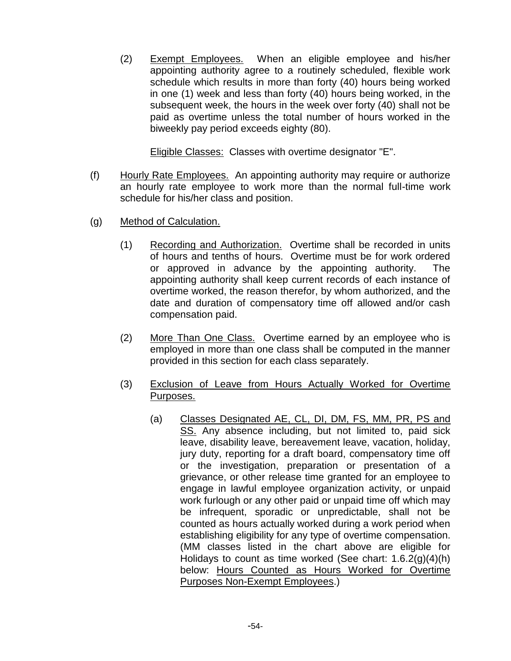(2) Exempt Employees. When an eligible employee and his/her appointing authority agree to a routinely scheduled, flexible work schedule which results in more than forty (40) hours being worked in one (1) week and less than forty (40) hours being worked, in the subsequent week, the hours in the week over forty (40) shall not be paid as overtime unless the total number of hours worked in the biweekly pay period exceeds eighty (80).

Eligible Classes: Classes with overtime designator "E".

- (f) Hourly Rate Employees. An appointing authority may require or authorize an hourly rate employee to work more than the normal full-time work schedule for his/her class and position.
- (g) Method of Calculation.
	- (1) Recording and Authorization. Overtime shall be recorded in units of hours and tenths of hours. Overtime must be for work ordered or approved in advance by the appointing authority. The appointing authority shall keep current records of each instance of overtime worked, the reason therefor, by whom authorized, and the date and duration of compensatory time off allowed and/or cash compensation paid.
	- (2) More Than One Class. Overtime earned by an employee who is employed in more than one class shall be computed in the manner provided in this section for each class separately.
	- (3) Exclusion of Leave from Hours Actually Worked for Overtime Purposes.
		- (a) Classes Designated AE, CL, DI, DM, FS, MM, PR, PS and SS. Any absence including, but not limited to, paid sick leave, disability leave, bereavement leave, vacation, holiday, jury duty, reporting for a draft board, compensatory time off or the investigation, preparation or presentation of a grievance, or other release time granted for an employee to engage in lawful employee organization activity, or unpaid work furlough or any other paid or unpaid time off which may be infrequent, sporadic or unpredictable, shall not be counted as hours actually worked during a work period when establishing eligibility for any type of overtime compensation. (MM classes listed in the chart above are eligible for Holidays to count as time worked (See chart:  $1.6.2(g)(4)(h)$ ) below: Hours Counted as Hours Worked for Overtime Purposes Non-Exempt Employees.)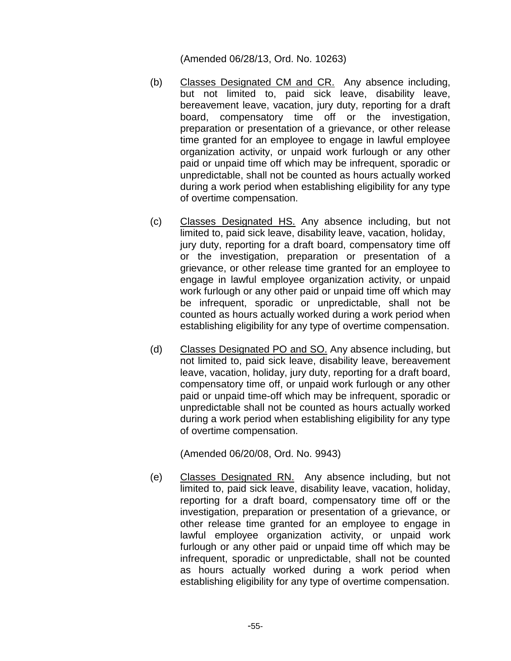(Amended 06/28/13, Ord. No. 10263)

- (b) Classes Designated CM and CR. Any absence including, but not limited to, paid sick leave, disability leave, bereavement leave, vacation, jury duty, reporting for a draft board, compensatory time off or the investigation, preparation or presentation of a grievance, or other release time granted for an employee to engage in lawful employee organization activity, or unpaid work furlough or any other paid or unpaid time off which may be infrequent, sporadic or unpredictable, shall not be counted as hours actually worked during a work period when establishing eligibility for any type of overtime compensation.
- (c) Classes Designated HS. Any absence including, but not limited to, paid sick leave, disability leave, vacation, holiday, jury duty, reporting for a draft board, compensatory time off or the investigation, preparation or presentation of a grievance, or other release time granted for an employee to engage in lawful employee organization activity, or unpaid work furlough or any other paid or unpaid time off which may be infrequent, sporadic or unpredictable, shall not be counted as hours actually worked during a work period when establishing eligibility for any type of overtime compensation.
- (d) Classes Designated PO and SO. Any absence including, but not limited to, paid sick leave, disability leave, bereavement leave, vacation, holiday, jury duty, reporting for a draft board, compensatory time off, or unpaid work furlough or any other paid or unpaid time-off which may be infrequent, sporadic or unpredictable shall not be counted as hours actually worked during a work period when establishing eligibility for any type of overtime compensation.

(Amended 06/20/08, Ord. No. 9943)

(e) Classes Designated RN. Any absence including, but not limited to, paid sick leave, disability leave, vacation, holiday, reporting for a draft board, compensatory time off or the investigation, preparation or presentation of a grievance, or other release time granted for an employee to engage in lawful employee organization activity, or unpaid work furlough or any other paid or unpaid time off which may be infrequent, sporadic or unpredictable, shall not be counted as hours actually worked during a work period when establishing eligibility for any type of overtime compensation.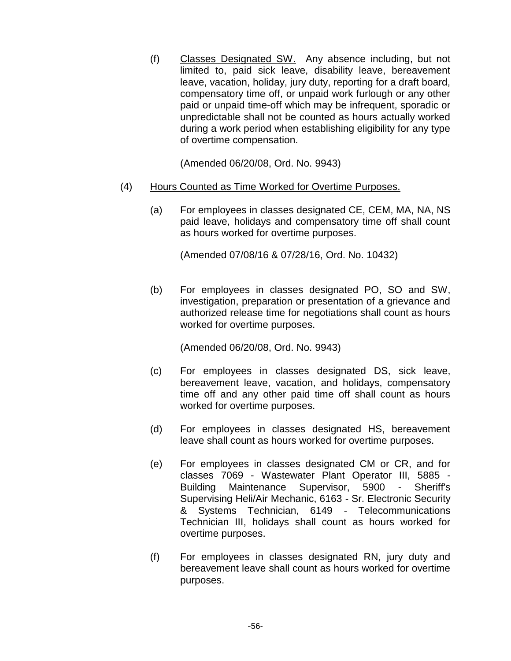(f) Classes Designated SW. Any absence including, but not limited to, paid sick leave, disability leave, bereavement leave, vacation, holiday, jury duty, reporting for a draft board, compensatory time off, or unpaid work furlough or any other paid or unpaid time-off which may be infrequent, sporadic or unpredictable shall not be counted as hours actually worked during a work period when establishing eligibility for any type of overtime compensation.

(Amended 06/20/08, Ord. No. 9943)

- (4) Hours Counted as Time Worked for Overtime Purposes.
	- (a) For employees in classes designated CE, CEM, MA, NA, NS paid leave, holidays and compensatory time off shall count as hours worked for overtime purposes.

(Amended 07/08/16 & 07/28/16, Ord. No. 10432)

(b) For employees in classes designated PO, SO and SW, investigation, preparation or presentation of a grievance and authorized release time for negotiations shall count as hours worked for overtime purposes.

(Amended 06/20/08, Ord. No. 9943)

- (c) For employees in classes designated DS, sick leave, bereavement leave, vacation, and holidays, compensatory time off and any other paid time off shall count as hours worked for overtime purposes.
- (d) For employees in classes designated HS, bereavement leave shall count as hours worked for overtime purposes.
- (e) For employees in classes designated CM or CR, and for classes 7069 - Wastewater Plant Operator III, 5885 - Building Maintenance Supervisor, 5900 - Sheriff's Supervising Heli/Air Mechanic, 6163 - Sr. Electronic Security & Systems Technician, 6149 - Telecommunications Technician III, holidays shall count as hours worked for overtime purposes.
- (f) For employees in classes designated RN, jury duty and bereavement leave shall count as hours worked for overtime purposes.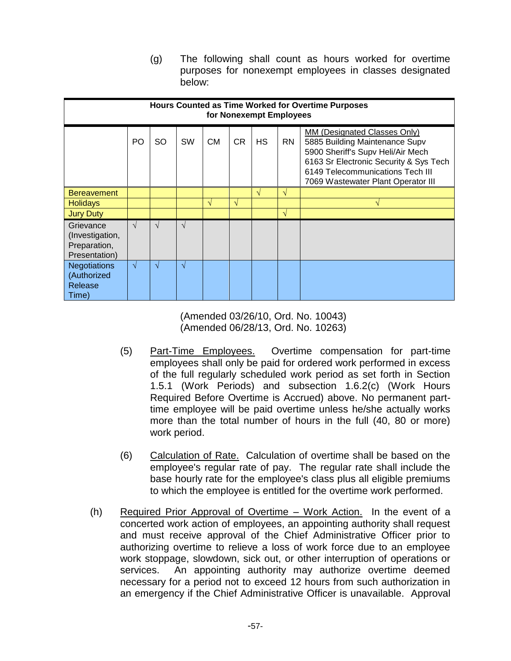(g) The following shall count as hours worked for overtime purposes for nonexempt employees in classes designated below:

| <b>Hours Counted as Time Worked for Overtime Purposes</b><br>for Nonexempt Employees |            |            |            |    |            |               |           |                                                                                                                                                                                                                         |  |  |
|--------------------------------------------------------------------------------------|------------|------------|------------|----|------------|---------------|-----------|-------------------------------------------------------------------------------------------------------------------------------------------------------------------------------------------------------------------------|--|--|
|                                                                                      | PO         | <b>SO</b>  | <b>SW</b>  | СM | <b>CR</b>  | HS            | <b>RN</b> | MM (Designated Classes Only)<br>5885 Building Maintenance Supv<br>5900 Sheriff's Supv Heli/Air Mech<br>6163 Sr Electronic Security & Sys Tech<br>6149 Telecommunications Tech III<br>7069 Wastewater Plant Operator III |  |  |
| <b>Bereavement</b>                                                                   |            |            |            |    |            | $\mathcal{N}$ | V         |                                                                                                                                                                                                                         |  |  |
| <b>Holidays</b>                                                                      |            |            |            | V  | $\sqrt{ }$ |               |           | N                                                                                                                                                                                                                       |  |  |
| <b>Jury Duty</b>                                                                     |            |            |            |    |            |               | V         |                                                                                                                                                                                                                         |  |  |
| Grievance<br>(Investigation,<br>Preparation,<br>Presentation)                        | V          | $\sqrt{ }$ | $\sqrt{ }$ |    |            |               |           |                                                                                                                                                                                                                         |  |  |
| <b>Negotiations</b><br>(Authorized<br>Release<br>Time)                               | $\sqrt{ }$ | $\sqrt{ }$ | $\sqrt{ }$ |    |            |               |           |                                                                                                                                                                                                                         |  |  |

(Amended 03/26/10, Ord. No. 10043) (Amended 06/28/13, Ord. No. 10263)

- (5) Part-Time Employees. Overtime compensation for part-time employees shall only be paid for ordered work performed in excess of the full regularly scheduled work period as set forth in Section 1.5.1 (Work Periods) and subsection 1.6.2(c) (Work Hours Required Before Overtime is Accrued) above. No permanent parttime employee will be paid overtime unless he/she actually works more than the total number of hours in the full (40, 80 or more) work period.
- (6) Calculation of Rate. Calculation of overtime shall be based on the employee's regular rate of pay. The regular rate shall include the base hourly rate for the employee's class plus all eligible premiums to which the employee is entitled for the overtime work performed.
- (h) Required Prior Approval of Overtime Work Action. In the event of a concerted work action of employees, an appointing authority shall request and must receive approval of the Chief Administrative Officer prior to authorizing overtime to relieve a loss of work force due to an employee work stoppage, slowdown, sick out, or other interruption of operations or services. An appointing authority may authorize overtime deemed necessary for a period not to exceed 12 hours from such authorization in an emergency if the Chief Administrative Officer is unavailable. Approval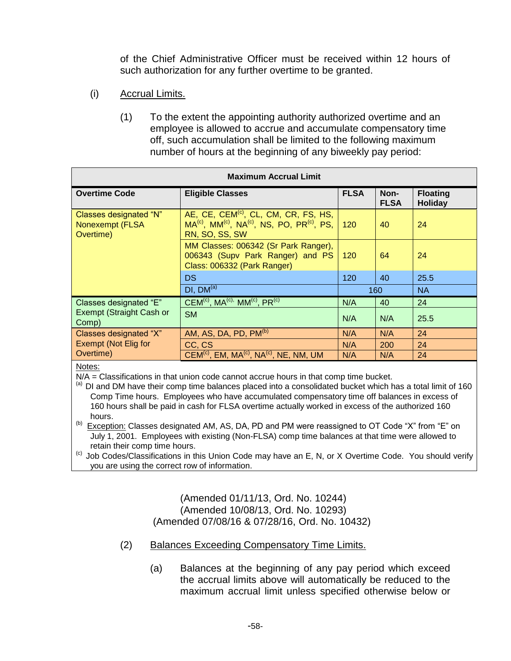of the Chief Administrative Officer must be received within 12 hours of such authorization for any further overtime to be granted.

- (i) Accrual Limits.
	- (1) To the extent the appointing authority authorized overtime and an employee is allowed to accrue and accumulate compensatory time off, such accumulation shall be limited to the following maximum number of hours at the beginning of any biweekly pay period:

| <b>Maximum Accrual Limit</b>                           |                                                                                                                                              |             |                     |                            |  |  |  |  |  |  |
|--------------------------------------------------------|----------------------------------------------------------------------------------------------------------------------------------------------|-------------|---------------------|----------------------------|--|--|--|--|--|--|
| <b>Overtime Code</b>                                   | <b>Eligible Classes</b>                                                                                                                      | <b>FLSA</b> | Non-<br><b>FLSA</b> | <b>Floating</b><br>Holiday |  |  |  |  |  |  |
| Classes designated "N"<br>Nonexempt (FLSA<br>Overtime) | AE, CE, CEM <sup>(c)</sup> , CL, CM, CR, FS, HS,<br>$MA^{(c)}$ , $MM^{(c)}$ , $NA^{(c)}$ , NS, PO, PR <sup>(c)</sup> , PS,<br>RN, SO, SS, SW | 120         | 40                  | 24                         |  |  |  |  |  |  |
|                                                        | MM Classes: 006342 (Sr Park Ranger),<br>006343 (Supv Park Ranger) and PS<br>Class: 006332 (Park Ranger)                                      | 120         | 64                  | 24                         |  |  |  |  |  |  |
|                                                        | <b>DS</b>                                                                                                                                    | 120         | 40                  | 25.5                       |  |  |  |  |  |  |
|                                                        | DI, DM <sup>(a)</sup>                                                                                                                        |             | 160                 | <b>NA</b>                  |  |  |  |  |  |  |
| Classes designated "E"                                 | $CEM^{(c)}$ , MA <sup>(c),</sup> MM <sup>(c)</sup> , PR <sup>(c)</sup>                                                                       | N/A         | 40                  | 24                         |  |  |  |  |  |  |
| Exempt (Straight Cash or<br>Comp)                      | <b>SM</b>                                                                                                                                    | N/A         | N/A                 | 25.5                       |  |  |  |  |  |  |
| Classes designated "X"                                 | AM, AS, DA, PD, PM <sup>(b)</sup>                                                                                                            | N/A         | N/A                 | 24                         |  |  |  |  |  |  |
| Exempt (Not Elig for                                   | CC, CS                                                                                                                                       | N/A         | 200                 | 24                         |  |  |  |  |  |  |
| Overtime)                                              | $CEM^{(c)}$ , EM, MA <sup>(c)</sup> , NA <sup>(c)</sup> , NE, NM, UM                                                                         | N/A         | N/A                 | 24                         |  |  |  |  |  |  |

Notes:

N/A = Classifications in that union code cannot accrue hours in that comp time bucket.

(a) DI and DM have their comp time balances placed into a consolidated bucket which has a total limit of 160 Comp Time hours. Employees who have accumulated compensatory time off balances in excess of 160 hours shall be paid in cash for FLSA overtime actually worked in excess of the authorized 160 hours.

<sup>(b)</sup> Exception: Classes designated AM, AS, DA, PD and PM were reassigned to OT Code "X" from "E" on July 1, 2001. Employees with existing (Non-FLSA) comp time balances at that time were allowed to retain their comp time hours.

(c) Job Codes/Classifications in this Union Code may have an E, N, or X Overtime Code. You should verify you are using the correct row of information.

> (Amended 01/11/13, Ord. No. 10244) (Amended 10/08/13, Ord. No. 10293) (Amended 07/08/16 & 07/28/16, Ord. No. 10432)

- (2) Balances Exceeding Compensatory Time Limits.
	- (a) Balances at the beginning of any pay period which exceed the accrual limits above will automatically be reduced to the maximum accrual limit unless specified otherwise below or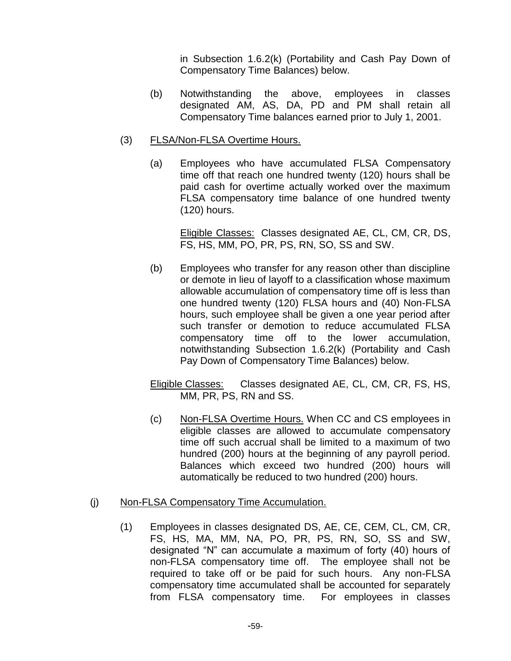in Subsection 1.6.2(k) (Portability and Cash Pay Down of Compensatory Time Balances) below.

(b) Notwithstanding the above, employees in classes designated AM, AS, DA, PD and PM shall retain all Compensatory Time balances earned prior to July 1, 2001.

## (3) FLSA/Non-FLSA Overtime Hours.

(a) Employees who have accumulated FLSA Compensatory time off that reach one hundred twenty (120) hours shall be paid cash for overtime actually worked over the maximum FLSA compensatory time balance of one hundred twenty (120) hours.

Eligible Classes: Classes designated AE, CL, CM, CR, DS, FS, HS, MM, PO, PR, PS, RN, SO, SS and SW.

(b) Employees who transfer for any reason other than discipline or demote in lieu of layoff to a classification whose maximum allowable accumulation of compensatory time off is less than one hundred twenty (120) FLSA hours and (40) Non-FLSA hours, such employee shall be given a one year period after such transfer or demotion to reduce accumulated FLSA compensatory time off to the lower accumulation, notwithstanding Subsection 1.6.2(k) (Portability and Cash Pay Down of Compensatory Time Balances) below.

Eligible Classes: Classes designated AE, CL, CM, CR, FS, HS, MM, PR, PS, RN and SS.

(c) Non-FLSA Overtime Hours. When CC and CS employees in eligible classes are allowed to accumulate compensatory time off such accrual shall be limited to a maximum of two hundred (200) hours at the beginning of any payroll period. Balances which exceed two hundred (200) hours will automatically be reduced to two hundred (200) hours.

### (j) Non-FLSA Compensatory Time Accumulation.

(1) Employees in classes designated DS, AE, CE, CEM, CL, CM, CR, FS, HS, MA, MM, NA, PO, PR, PS, RN, SO, SS and SW, designated "N" can accumulate a maximum of forty (40) hours of non-FLSA compensatory time off. The employee shall not be required to take off or be paid for such hours. Any non-FLSA compensatory time accumulated shall be accounted for separately from FLSA compensatory time. For employees in classes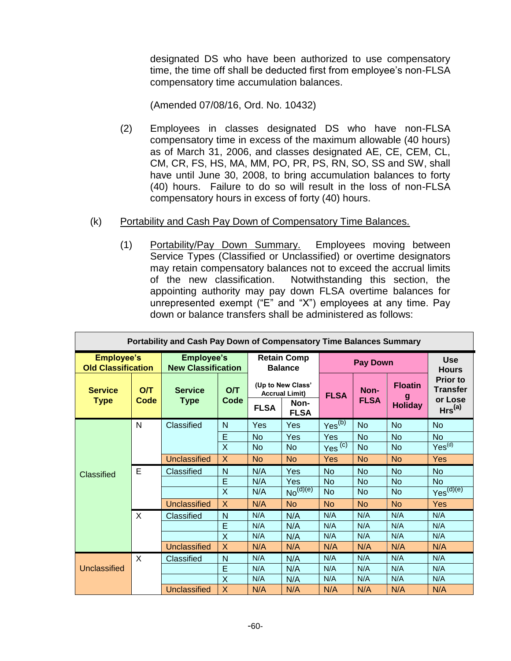designated DS who have been authorized to use compensatory time, the time off shall be deducted first from employee's non-FLSA compensatory time accumulation balances.

(Amended 07/08/16, Ord. No. 10432)

- (2) Employees in classes designated DS who have non-FLSA compensatory time in excess of the maximum allowable (40 hours) as of March 31, 2006, and classes designated AE, CE, CEM, CL, CM, CR, FS, HS, MA, MM, PO, PR, PS, RN, SO, SS and SW, shall have until June 30, 2008, to bring accumulation balances to forty (40) hours. Failure to do so will result in the loss of non-FLSA compensatory hours in excess of forty (40) hours.
- (k) Portability and Cash Pay Down of Compensatory Time Balances.
	- (1) Portability/Pay Down Summary. Employees moving between Service Types (Classified or Unclassified) or overtime designators may retain compensatory balances not to exceed the accrual limits of the new classification. Notwithstanding this section, the appointing authority may pay down FLSA overtime balances for unrepresented exempt ("E" and "X") employees at any time. Pay down or balance transfers shall be administered as follows:

| <b>Portability and Cash Pay Down of Compensatory Time Balances Summary</b> |             |                                                |                                      |             |                                                                   |                            |                     |                                       |                                                                     |  |
|----------------------------------------------------------------------------|-------------|------------------------------------------------|--------------------------------------|-------------|-------------------------------------------------------------------|----------------------------|---------------------|---------------------------------------|---------------------------------------------------------------------|--|
| <b>Employee's</b><br><b>Old Classification</b>                             |             | <b>Employee's</b><br><b>New Classification</b> | <b>Retain Comp</b><br><b>Balance</b> |             |                                                                   | <b>Use</b><br><b>Hours</b> |                     |                                       |                                                                     |  |
| <b>Service</b><br><b>Type</b>                                              | O/T<br>Code | <b>Service</b><br><b>Type</b>                  | O/T<br>Code                          | <b>FLSA</b> | (Up to New Class'<br><b>Accrual Limit)</b><br>Non-<br><b>FLSA</b> | <b>FLSA</b>                | Non-<br><b>FLSA</b> | <b>Floatin</b><br>g<br><b>Holiday</b> | <b>Prior to</b><br><b>Transfer</b><br>or Lose<br>Hrs <sup>(a)</sup> |  |
|                                                                            | N           | Classified                                     | N                                    | Yes         | Yes                                                               | Yes <sup>(b)</sup>         | <b>No</b>           | <b>No</b>                             | <b>No</b>                                                           |  |
| <b>Classified</b>                                                          |             |                                                | E                                    | <b>No</b>   | <b>Yes</b>                                                        | Yes                        | <b>No</b>           | <b>No</b>                             | <b>No</b>                                                           |  |
|                                                                            |             |                                                | X                                    | <b>No</b>   | N <sub>o</sub>                                                    | Yes <sup>(c)</sup>         | <b>No</b>           | <b>No</b>                             | Yes <sup>(d)</sup>                                                  |  |
|                                                                            |             | Unclassified                                   | X                                    | <b>No</b>   | <b>No</b>                                                         | Yes                        | <b>No</b>           | <b>No</b>                             | <b>Yes</b>                                                          |  |
|                                                                            | E           | Classified                                     | N                                    | N/A         | Yes                                                               | <b>No</b>                  | <b>No</b>           | <b>No</b>                             | <b>No</b>                                                           |  |
|                                                                            |             |                                                | E                                    | N/A         | Yes                                                               | <b>No</b>                  | <b>No</b>           | <b>No</b>                             | <b>No</b>                                                           |  |
|                                                                            |             |                                                | X                                    | N/A         | No <sup>(d)(e)</sup>                                              | <b>No</b>                  | <b>No</b>           | <b>No</b>                             | Yes <sup>(d)(e)</sup>                                               |  |
|                                                                            |             | <b>Unclassified</b>                            | X                                    | N/A         | No                                                                | <b>No</b>                  | <b>No</b>           | <b>No</b>                             | <b>Yes</b>                                                          |  |
|                                                                            | X           | Classified                                     | N                                    | N/A         | N/A                                                               | N/A                        | N/A                 | N/A                                   | N/A                                                                 |  |
|                                                                            |             |                                                | E                                    | N/A         | N/A                                                               | N/A                        | N/A                 | N/A                                   | N/A                                                                 |  |
|                                                                            |             |                                                | $\overline{X}$                       | N/A         | N/A                                                               | N/A                        | N/A                 | N/A                                   | N/A                                                                 |  |
|                                                                            |             | <b>Unclassified</b>                            | X                                    | N/A         | N/A                                                               | N/A                        | N/A                 | N/A                                   | N/A                                                                 |  |
|                                                                            | X           | Classified                                     | N                                    | N/A         | N/A                                                               | N/A                        | N/A                 | N/A                                   | N/A                                                                 |  |
| Unclassified                                                               |             |                                                | E                                    | N/A         | N/A                                                               | N/A                        | N/A                 | N/A                                   | N/A                                                                 |  |
|                                                                            |             |                                                | X                                    | N/A         | N/A                                                               | N/A                        | N/A                 | N/A                                   | N/A                                                                 |  |
|                                                                            |             | <b>Unclassified</b>                            | X                                    | N/A         | N/A                                                               | N/A                        | N/A                 | N/A                                   | N/A                                                                 |  |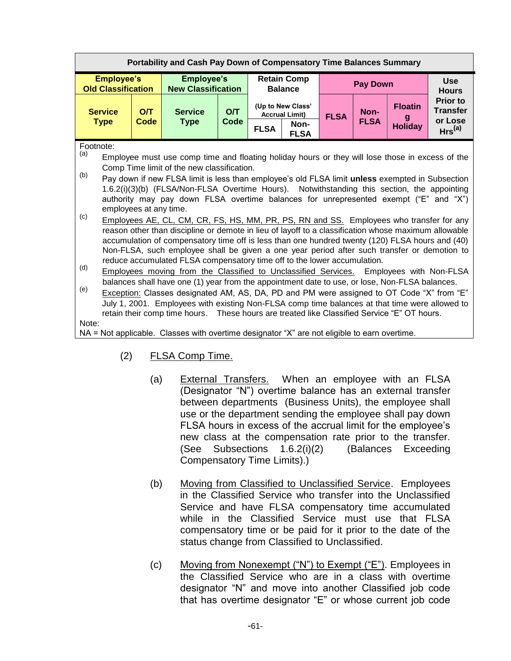| <b>Portability and Cash Pay Down of Compensatory Time Balances Summary</b> |                                                                                                                                                                                                                                                                                                                                                                                                                                                                                                                                                                                                                                                                                                                                                                                                                                                                                                                                                                                    |      |                                                                                                       |      |             |                                            |                 |                     |                                  |                                    |  |
|----------------------------------------------------------------------------|------------------------------------------------------------------------------------------------------------------------------------------------------------------------------------------------------------------------------------------------------------------------------------------------------------------------------------------------------------------------------------------------------------------------------------------------------------------------------------------------------------------------------------------------------------------------------------------------------------------------------------------------------------------------------------------------------------------------------------------------------------------------------------------------------------------------------------------------------------------------------------------------------------------------------------------------------------------------------------|------|-------------------------------------------------------------------------------------------------------|------|-------------|--------------------------------------------|-----------------|---------------------|----------------------------------|------------------------------------|--|
|                                                                            | <b>Employee's</b><br><b>Old Classification</b>                                                                                                                                                                                                                                                                                                                                                                                                                                                                                                                                                                                                                                                                                                                                                                                                                                                                                                                                     |      | <b>Employee's</b><br><b>New Classification</b>                                                        |      |             | <b>Retain Comp</b><br><b>Balance</b>       | <b>Pay Down</b> |                     |                                  | <b>Use</b><br><b>Hours</b>         |  |
|                                                                            | <b>Service</b>                                                                                                                                                                                                                                                                                                                                                                                                                                                                                                                                                                                                                                                                                                                                                                                                                                                                                                                                                                     | O/T  | <b>Service</b>                                                                                        | O/T  |             | (Up to New Class'<br><b>Accrual Limit)</b> | <b>FLSA</b>     | Non-<br><b>FLSA</b> | <b>Floatin</b><br><b>Holiday</b> | <b>Prior to</b><br><b>Transfer</b> |  |
|                                                                            | <b>Type</b>                                                                                                                                                                                                                                                                                                                                                                                                                                                                                                                                                                                                                                                                                                                                                                                                                                                                                                                                                                        | Code | <b>Type</b>                                                                                           | Code | <b>FLSA</b> | Non-<br><b>FLSA</b>                        |                 |                     |                                  | or Lose<br>Hrs <sup>(a)</sup>      |  |
| (a)<br>(b)<br>(c)                                                          | Footnote:<br>Employee must use comp time and floating holiday hours or they will lose those in excess of the<br>Comp Time limit of the new classification.<br>Pay down if new FLSA limit is less than employee's old FLSA limit unless exempted in Subsection<br>1.6.2(i)(3)(b) (FLSA/Non-FLSA Overtime Hours). Notwithstanding this section, the appointing<br>authority may pay down FLSA overtime balances for unrepresented exempt ("E" and "X")<br>employees at any time.                                                                                                                                                                                                                                                                                                                                                                                                                                                                                                     |      |                                                                                                       |      |             |                                            |                 |                     |                                  |                                    |  |
| (d)<br>(e)                                                                 | Employees AE, CL, CM, CR, FS, HS, MM, PR, PS, RN and SS. Employees who transfer for any<br>reason other than discipline or demote in lieu of layoff to a classification whose maximum allowable<br>accumulation of compensatory time off is less than one hundred twenty (120) FLSA hours and (40)<br>Non-FLSA, such employee shall be given a one year period after such transfer or demotion to<br>reduce accumulated FLSA compensatory time off to the lower accumulation.<br><b>Employees moving from the Classified to Unclassified Services.</b><br>Employees with Non-FLSA<br>balances shall have one (1) year from the appointment date to use, or lose, Non-FLSA balances.<br>Exception: Classes designated AM, AS, DA, PD and PM were assigned to OT Code "X" from "E"<br>July 1, 2001. Employees with existing Non-FLSA comp time balances at that time were allowed to<br>retain their comp time hours.  These hours are treated like Classified Service "E" OT hours. |      |                                                                                                       |      |             |                                            |                 |                     |                                  |                                    |  |
| Note:                                                                      |                                                                                                                                                                                                                                                                                                                                                                                                                                                                                                                                                                                                                                                                                                                                                                                                                                                                                                                                                                                    |      | $N\Delta = N\alpha$ and icable Classes with overtime designator "Y" are not eligible to earn overtime |      |             |                                            |                 |                     |                                  |                                    |  |

- NA = Not applicable. Classes with overtime designator "X" are not eligible to earn overtime.
	- (2) FLSA Comp Time.
		- (a) External Transfers. When an employee with an FLSA (Designator "N") overtime balance has an external transfer between departments (Business Units), the employee shall use or the department sending the employee shall pay down FLSA hours in excess of the accrual limit for the employee's new class at the compensation rate prior to the transfer. (See Subsections 1.6.2(i)(2) (Balances Exceeding Compensatory Time Limits).)
		- (b) Moving from Classified to Unclassified Service. Employees in the Classified Service who transfer into the Unclassified Service and have FLSA compensatory time accumulated while in the Classified Service must use that FLSA compensatory time or be paid for it prior to the date of the status change from Classified to Unclassified.
		- (c) Moving from Nonexempt ("N") to Exempt ("E"). Employees in the Classified Service who are in a class with overtime designator "N" and move into another Classified job code that has overtime designator "E" or whose current job code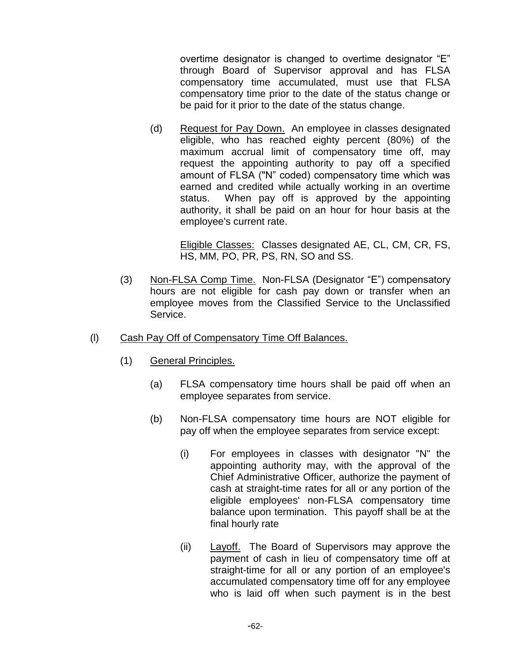overtime designator is changed to overtime designator "E" through Board of Supervisor approval and has FLSA compensatory time accumulated, must use that FLSA compensatory time prior to the date of the status change or be paid for it prior to the date of the status change.

(d) Request for Pay Down. An employee in classes designated eligible, who has reached eighty percent (80%) of the maximum accrual limit of compensatory time off, may request the appointing authority to pay off a specified amount of FLSA ("N" coded) compensatory time which was earned and credited while actually working in an overtime status. When pay off is approved by the appointing authority, it shall be paid on an hour for hour basis at the employee's current rate.

Eligible Classes: Classes designated AE, CL, CM, CR, FS, HS, MM, PO, PR, PS, RN, SO and SS.

- (3) Non-FLSA Comp Time. Non-FLSA (Designator "E") compensatory hours are not eligible for cash pay down or transfer when an employee moves from the Classified Service to the Unclassified Service.
- (l) Cash Pay Off of Compensatory Time Off Balances.
	- (1) General Principles.
		- (a) FLSA compensatory time hours shall be paid off when an employee separates from service.
		- (b) Non-FLSA compensatory time hours are NOT eligible for pay off when the employee separates from service except:
			- (i) For employees in classes with designator "N" the appointing authority may, with the approval of the Chief Administrative Officer, authorize the payment of cash at straight-time rates for all or any portion of the eligible employees' non-FLSA compensatory time balance upon termination. This payoff shall be at the final hourly rate
			- (ii) Layoff. The Board of Supervisors may approve the payment of cash in lieu of compensatory time off at straight-time for all or any portion of an employee's accumulated compensatory time off for any employee who is laid off when such payment is in the best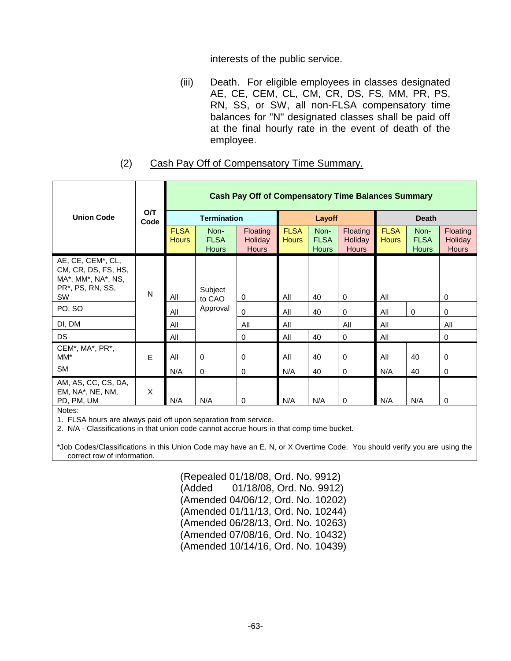interests of the public service.

(iii) Death. For eligible employees in classes designated AE, CE, CEM, CL, CM, CR, DS, FS, MM, PR, PS, RN, SS, or SW, all non-FLSA compensatory time balances for "N" designated classes shall be paid off at the final hourly rate in the event of death of the employee.

## (2) Cash Pay Off of Compensatory Time Summary.

|                                                                                          | <b>O/T</b><br>Code | <b>Cash Pay Off of Compensatory Time Balances Summary</b> |                                     |                                            |                             |                                     |                                            |                             |                                     |                                            |  |
|------------------------------------------------------------------------------------------|--------------------|-----------------------------------------------------------|-------------------------------------|--------------------------------------------|-----------------------------|-------------------------------------|--------------------------------------------|-----------------------------|-------------------------------------|--------------------------------------------|--|
| <b>Union Code</b>                                                                        |                    |                                                           | <b>Termination</b>                  |                                            |                             | Layoff                              |                                            | <b>Death</b>                |                                     |                                            |  |
|                                                                                          |                    | <b>FLSA</b><br><b>Hours</b>                               | Non-<br><b>FLSA</b><br><b>Hours</b> | <b>Floating</b><br>Holiday<br><b>Hours</b> | <b>FLSA</b><br><b>Hours</b> | Non-<br><b>FLSA</b><br><b>Hours</b> | <b>Floating</b><br>Holiday<br><b>Hours</b> | <b>FLSA</b><br><b>Hours</b> | Non-<br><b>FLSA</b><br><b>Hours</b> | Floating<br><b>Holiday</b><br><b>Hours</b> |  |
| AE, CE, CEM*, CL,<br>CM, CR, DS, FS, HS,<br>MA*, MM*, NA*, NS,<br>PR*, PS, RN, SS,<br>SW | N                  | All                                                       | Subject<br>to CAO                   | 0                                          | All                         | 40                                  | $\mathbf 0$                                | All                         |                                     | 0                                          |  |
| PO, SO                                                                                   |                    | All                                                       | Approval                            | 0                                          | All                         | 40                                  | $\mathbf 0$                                | All                         | $\pmb{0}$                           | 0                                          |  |
| DI, DM                                                                                   |                    | All                                                       |                                     | All                                        | All                         |                                     | All                                        | All                         |                                     | All                                        |  |
| <b>DS</b>                                                                                |                    | All                                                       |                                     | 0                                          | All                         | 40                                  | $\mathbf 0$                                | All                         |                                     | 0                                          |  |
| CEM*, MA*, PR*,<br>MM*                                                                   | E                  | All                                                       | $\mathbf 0$                         | 0                                          | All                         | 40                                  | $\mathbf 0$                                | All                         | 40                                  | 0                                          |  |
| <b>SM</b>                                                                                |                    | N/A                                                       | 0                                   | 0                                          | N/A                         | 40                                  | 0                                          | N/A                         | 40                                  | 0                                          |  |
| AM, AS, CC, CS, DA,<br>EM, NA*, NE, NM,<br>PD, PM, UM                                    | X                  | N/A                                                       | N/A                                 | 0                                          | N/A                         | N/A                                 | 0                                          | N/A                         | N/A                                 | 0                                          |  |

Notes:

1. FLSA hours are always paid off upon separation from service.

2. N/A - Classifications in that union code cannot accrue hours in that comp time bucket.

\*Job Codes/Classifications in this Union Code may have an E, N, or X Overtime Code. You should verify you are using the correct row of information.

> (Repealed 01/18/08, Ord. No. 9912) (Added 01/18/08, Ord. No. 9912) (Amended 04/06/12, Ord. No. 10202) (Amended 01/11/13, Ord. No. 10244) (Amended 06/28/13, Ord. No. 10263) (Amended 07/08/16, Ord. No. 10432) (Amended 10/14/16, Ord. No. 10439)